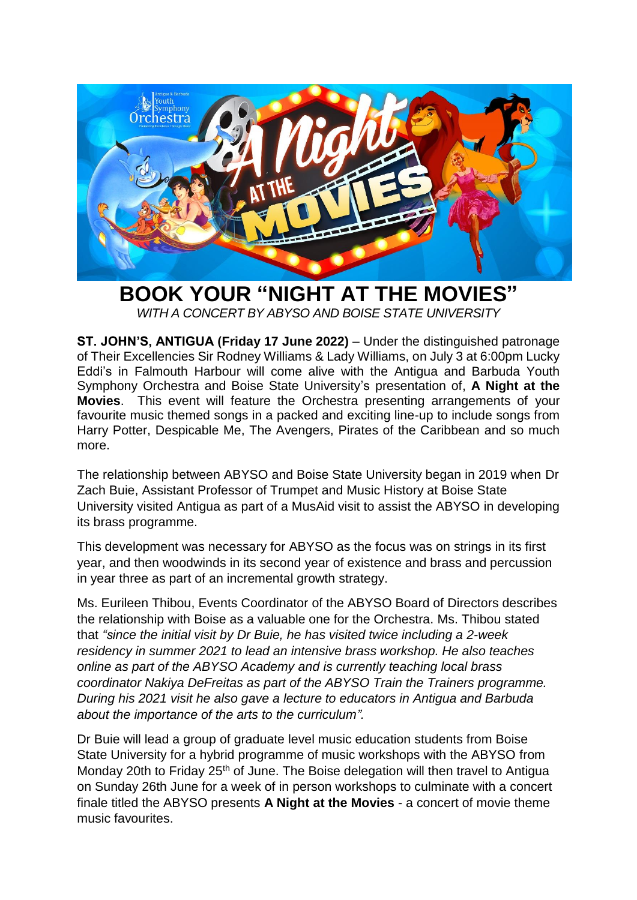

**BOOK YOUR "NIGHT AT THE MOVIES"** *WITH A CONCERT BY ABYSO AND BOISE STATE UNIVERSITY* 

**ST. JOHN'S, ANTIGUA (Friday 17 June 2022)** – Under the distinguished patronage of Their Excellencies Sir Rodney Williams & Lady Williams, on July 3 at 6:00pm Lucky Eddi's in Falmouth Harbour will come alive with the Antigua and Barbuda Youth Symphony Orchestra and Boise State University's presentation of, **A Night at the Movies**. This event will feature the Orchestra presenting arrangements of your favourite music themed songs in a packed and exciting line-up to include songs from Harry Potter, Despicable Me, The Avengers, Pirates of the Caribbean and so much more.

The relationship between ABYSO and Boise State University began in 2019 when Dr Zach Buie, Assistant Professor of Trumpet and Music History at Boise State University visited Antigua as part of a MusAid visit to assist the ABYSO in developing its brass programme.

This development was necessary for ABYSO as the focus was on strings in its first year, and then woodwinds in its second year of existence and brass and percussion in year three as part of an incremental growth strategy.

Ms. Eurileen Thibou, Events Coordinator of the ABYSO Board of Directors describes the relationship with Boise as a valuable one for the Orchestra. Ms. Thibou stated that *"since the initial visit by Dr Buie, he has visited twice including a 2-week residency in summer 2021 to lead an intensive brass workshop. He also teaches online as part of the ABYSO Academy and is currently teaching local brass coordinator Nakiya DeFreitas as part of the ABYSO Train the Trainers programme. During his 2021 visit he also gave a lecture to educators in Antigua and Barbuda about the importance of the arts to the curriculum".*

Dr Buie will lead a group of graduate level music education students from Boise State University for a hybrid programme of music workshops with the ABYSO from Monday 20th to Friday 25<sup>th</sup> of June. The Boise delegation will then travel to Antigua on Sunday 26th June for a week of in person workshops to culminate with a concert finale titled the ABYSO presents **A Night at the Movies** - a concert of movie theme music favourites.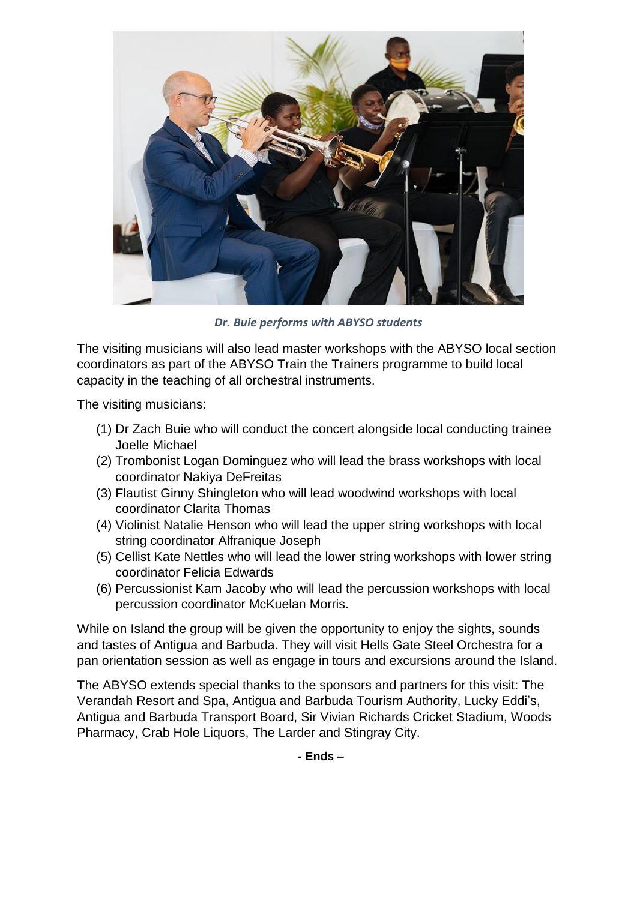

*Dr. Buie performs with ABYSO students*

The visiting musicians will also lead master workshops with the ABYSO local section coordinators as part of the ABYSO Train the Trainers programme to build local capacity in the teaching of all orchestral instruments.

The visiting musicians:

- (1) Dr Zach Buie who will conduct the concert alongside local conducting trainee Joelle Michael
- (2) Trombonist Logan Dominguez who will lead the brass workshops with local coordinator Nakiya DeFreitas
- (3) Flautist Ginny Shingleton who will lead woodwind workshops with local coordinator Clarita Thomas
- (4) Violinist Natalie Henson who will lead the upper string workshops with local string coordinator Alfranique Joseph
- (5) Cellist Kate Nettles who will lead the lower string workshops with lower string coordinator Felicia Edwards
- (6) Percussionist Kam Jacoby who will lead the percussion workshops with local percussion coordinator McKuelan Morris.

While on Island the group will be given the opportunity to enjoy the sights, sounds and tastes of Antigua and Barbuda. They will visit Hells Gate Steel Orchestra for a pan orientation session as well as engage in tours and excursions around the Island.

The ABYSO extends special thanks to the sponsors and partners for this visit: The Verandah Resort and Spa, Antigua and Barbuda Tourism Authority, Lucky Eddi's, Antigua and Barbuda Transport Board, Sir Vivian Richards Cricket Stadium, Woods Pharmacy, Crab Hole Liquors, The Larder and Stingray City.

**- Ends –**